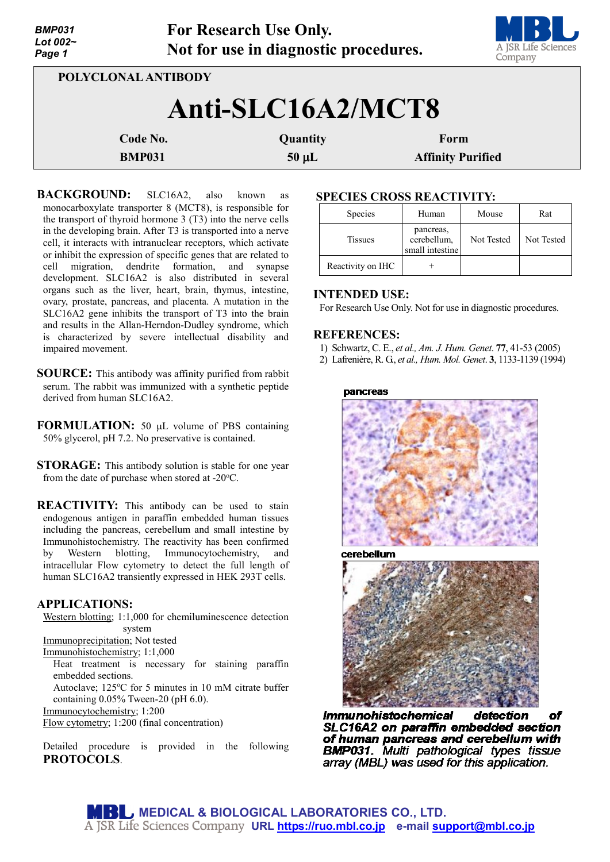| <b>BMP031</b><br>Lot $002-$<br>Page 1 |               | <b>For Research Use Only.</b><br>Not for use in diagnostic procedures. | A JSR Life Sciences<br>Company |  |  |  |  |
|---------------------------------------|---------------|------------------------------------------------------------------------|--------------------------------|--|--|--|--|
| POLYCLONAL ANTIBODY                   |               |                                                                        |                                |  |  |  |  |
| Anti-SLC16A2/MCT8                     |               |                                                                        |                                |  |  |  |  |
|                                       | Code No.      | Quantity                                                               | Form                           |  |  |  |  |
|                                       | <b>BMP031</b> | $50 \mu L$                                                             | <b>Affinity Purified</b>       |  |  |  |  |

BACKGROUND: SLC16A2, also known as monocarboxylate transporter 8 (MCT8), is responsible for the transport of thyroid hormone 3 (T3) into the nerve cells in the developing brain. After T3 is transported into a nerve cell, it interacts with intranuclear receptors, which activate or inhibit the expression of specific genes that are related to cell migration, dendrite formation, and synapse development. SLC16A2 is also distributed in several organs such as the liver, heart, brain, thymus, intestine, ovary, prostate, pancreas, and placenta. A mutation in the SLC16A2 gene inhibits the transport of T3 into the brain and results in the Allan-Herndon-Dudley syndrome, which is characterized by severe intellectual disability and impaired movement.

- **SOURCE:** This antibody was affinity purified from rabbit serum. The rabbit was immunized with a synthetic peptide derived from human SLC16A2.
- **FORMULATION:** 50 µL volume of PBS containing 50% glycerol, pH 7.2. No preservative is contained.
- **STORAGE:** This antibody solution is stable for one year from the date of purchase when stored at -20°C.
- **REACTIVITY:** This antibody can be used to stain endogenous antigen in paraffin embedded human tissues including the pancreas, cerebellum and small intestine by Immunohistochemistry. The reactivity has been confirmed<br>by Western blotting, Immunocytochemistry, and by Western blotting, Immunocytochemistry, and intracellular Flow cytometry to detect the full length of human SLC16A2 transiently expressed in HEK 293T cells.

# **APPLICATIONS:**

Western blotting; 1:1,000 for chemiluminescence detection system Immunoprecipitation; Not tested Immunohistochemistry; 1:1,000 Heat treatment is necessary for staining paraffin embedded sections.

Autoclave; 125°C for 5 minutes in 10 mM citrate buffer containing 0.05% Tween-20 (pH 6.0).

Immunocytochemistry; 1:200

Flow cytometry; 1:200 (final concentration)

Detailed procedure is provided in the following **PROTOCOLS**.

# **SPECIES CROSS REACTIVITY:**

| Species           | Human                                       | Mouse      | Rat        |  |  |  |
|-------------------|---------------------------------------------|------------|------------|--|--|--|
| <b>Tissues</b>    | pancreas,<br>cerebellum,<br>small intestine | Not Tested | Not Tested |  |  |  |
| Reactivity on IHC |                                             |            |            |  |  |  |

**TEAM** 

# **INTENDED USE:**

For Research Use Only. Not for use in diagnostic procedures.

# **REFERENCES:**

- 1) Schwartz, C. E., *et al., Am. J. Hum. Genet*. **77**, 41-53 (2005)
- 2) Lafrenière, R. G., *et al., Hum. Mol. Genet*. **3**, 1133-1139 (1994)

#### pancreas



cerebellum



*Immunohistochemical* detection оf SLC16A2 on paraffin embedded section of human pancreas and cerebellum with **BMP031.** Multi pathological types tissue array (MBL) was used for this application.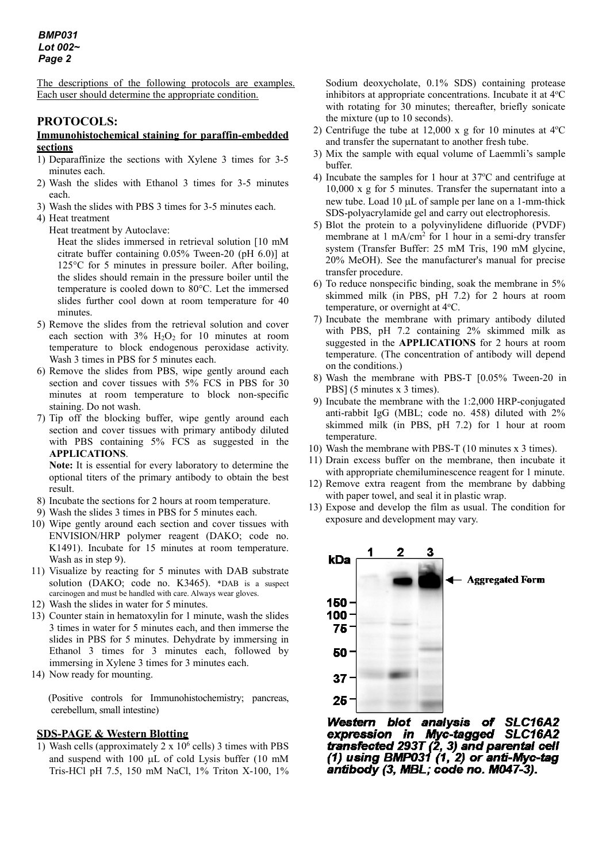The descriptions of the following protocols are examples. Each user should determine the appropriate condition.

# **PROTOCOLS:**

### **Immunohistochemical staining for paraffin-embedded sections**

- 1) Deparaffinize the sections with Xylene 3 times for 3-5 minutes each.
- 2) Wash the slides with Ethanol 3 times for 3-5 minutes each.
- 3) Wash the slides with PBS 3 times for 3-5 minutes each.
- 4) Heat treatment
	- Heat treatment by Autoclave:

Heat the slides immersed in retrieval solution [10 mM citrate buffer containing 0.05% Tween-20 (pH 6.0)] at 125°C for 5 minutes in pressure boiler. After boiling, the slides should remain in the pressure boiler until the temperature is cooled down to 80°C. Let the immersed slides further cool down at room temperature for 40 minutes.

- 5) Remove the slides from the retrieval solution and cover each section with  $3\%$  H<sub>2</sub>O<sub>2</sub> for 10 minutes at room temperature to block endogenous peroxidase activity. Wash 3 times in PBS for 5 minutes each.
- 6) Remove the slides from PBS, wipe gently around each section and cover tissues with 5% FCS in PBS for 30 minutes at room temperature to block non-specific staining. Do not wash.
- 7) Tip off the blocking buffer, wipe gently around each section and cover tissues with primary antibody diluted with PBS containing 5% FCS as suggested in the **APPLICATIONS**.

**Note:** It is essential for every laboratory to determine the optional titers of the primary antibody to obtain the best result.

- 8) Incubate the sections for 2 hours at room temperature.
- 9) Wash the slides 3 times in PBS for 5 minutes each.
- 10) Wipe gently around each section and cover tissues with ENVISION/HRP polymer reagent (DAKO; code no. K1491). Incubate for 15 minutes at room temperature. Wash as in step 9).
- 11) Visualize by reacting for 5 minutes with DAB substrate solution (DAKO; code no. K3465). \*DAB is a suspect carcinogen and must be handled with care. Always wear gloves.
- 12) Wash the slides in water for 5 minutes.
- 13) Counter stain in hematoxylin for 1 minute, wash the slides 3 times in water for 5 minutes each, and then immerse the slides in PBS for 5 minutes. Dehydrate by immersing in Ethanol 3 times for 3 minutes each, followed by immersing in Xylene 3 times for 3 minutes each.
- 14) Now ready for mounting.

(Positive controls for Immunohistochemistry; pancreas, cerebellum, small intestine)

# **SDS-PAGE & Western Blotting**

1) Wash cells (approximately  $2 \times 10^6$  cells) 3 times with PBS and suspend with 100 µL of cold Lysis buffer (10 mM Tris-HCl pH 7.5, 150 mM NaCl, 1% Triton X-100, 1%

Sodium deoxycholate, 0.1% SDS) containing protease inhibitors at appropriate concentrations. Incubate it at 4°C with rotating for 30 minutes; thereafter, briefly sonicate the mixture (up to 10 seconds).

- 2) Centrifuge the tube at  $12,000 \times g$  for 10 minutes at  $4^{\circ}$ C and transfer the supernatant to another fresh tube.
- 3) Mix the sample with equal volume of Laemmli's sample buffer.
- 4) Incubate the samples for 1 hour at  $37^{\circ}$ C and centrifuge at 10,000 x g for 5 minutes. Transfer the supernatant into a new tube. Load 10 µL of sample per lane on a 1-mm-thick SDS-polyacrylamide gel and carry out electrophoresis.
- 5) Blot the protein to a polyvinylidene difluoride (PVDF) membrane at 1 mA/cm<sup>2</sup> for 1 hour in a semi-dry transfer system (Transfer Buffer: 25 mM Tris, 190 mM glycine, 20% MeOH). See the manufacturer's manual for precise transfer procedure.
- 6) To reduce nonspecific binding, soak the membrane in 5% skimmed milk (in PBS, pH 7.2) for 2 hours at room temperature, or overnight at 4°C.
- 7) Incubate the membrane with primary antibody diluted with PBS, pH 7.2 containing 2% skimmed milk as suggested in the **APPLICATIONS** for 2 hours at room temperature. (The concentration of antibody will depend on the conditions.)
- 8) Wash the membrane with PBS-T [0.05% Tween-20 in PBS] (5 minutes x 3 times).
- 9) Incubate the membrane with the 1:2,000 HRP-conjugated anti-rabbit IgG (MBL; code no. 458) diluted with 2% skimmed milk (in PBS, pH 7.2) for 1 hour at room temperature.
- 10) Wash the membrane with PBS-T (10 minutes x 3 times).
- 11) Drain excess buffer on the membrane, then incubate it with appropriate chemiluminescence reagent for 1 minute.
- 12) Remove extra reagent from the membrane by dabbing with paper towel, and seal it in plastic wrap.
- 13) Expose and develop the film as usual. The condition for exposure and development may vary.



Western blot analysis of SLC16A2 expression in Myc-tagged SLC16A2 transfected 293T  $(2, 3)$  and parental cell<br>(1) using BMP031  $(1, 2)$  or anti-Myc-tag antibody (3, MBL; code no. M047-3).